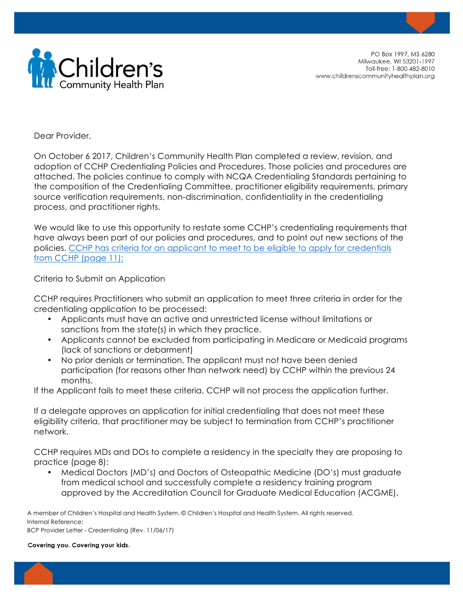

PO Box 1997, MS 6280 Milwaukee, WI 53201-1997 Toll-free: 1-800-482-8010 www.childrenscommunityhealthplan.org

Dear Provider,

On October 6 2017, Children's Community Health Plan completed a review, revision, and adoption of CCHP Credentialing Policies and Procedures. Those policies and procedures are attached. The policies continue to comply with NCQA Credentialing Standards pertaining to the composition of the Credentialing Committee, practitioner eligibility requirements, primary source verification requirements, non-discrimination, confidentiality in the credentialing process, and practitioner rights.

We would like to use this opportunity to restate some CCHP's credentialing requirements that have always been part of our policies and procedures, and to point out new sections of the policies. CCHP has criteria for an applicant to meet to be eligible to apply for credentials from CCHP (page 11):

Criteria to Submit an Application

CCHP requires Practitioners who submit an application to meet three criteria in order for the credentialing application to be processed:

- Applicants must have an active and unrestricted license without limitations or sanctions from the state(s) in which they practice.
- Applicants cannot be excluded from participating in Medicare or Medicaid programs (lack of sanctions or debarment)
- No prior denials or termination. The applicant must not have been denied participation (for reasons other than network need) by CCHP within the previous 24 months.

If the Applicant fails to meet these criteria, CCHP will not process the application further.

If a delegate approves an application for initial credentialing that does not meet these eligibility criteria, that practitioner may be subject to termination from CCHP's practitioner network.

CCHP requires MDs and DOs to complete a residency in the specialty they are proposing to practice (page 8):

• Medical Doctors (MD's) and Doctors of Osteopathic Medicine (DO's) must graduate from medical school and successfully complete a residency training program approved by the Accreditation Council for Graduate Medical Education (ACGME),

A member of Children's Hospital and Health System. © Children's Hospital and Health System. All rights reserved. Internal Reference: BCP Provider Letter - Credentialing (Rev. 11/06/17)

Covering you. Covering your kids.